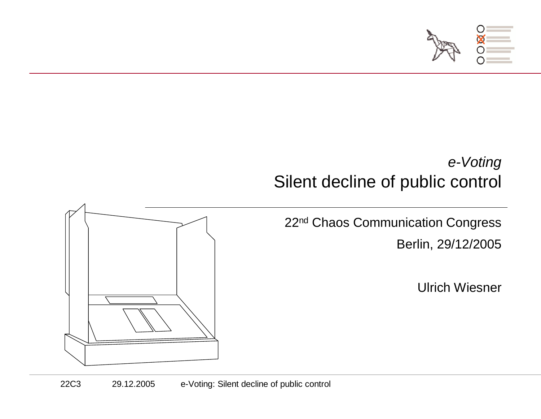

#### e-VotingSilent decline of public control

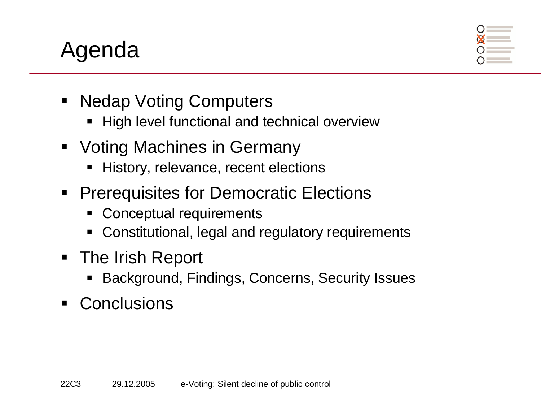# Agenda



- $\blacksquare$  Nedap Voting Computers
	- High level functional and technical overview
- **Voting Machines in Germany** 
	- **History, relevance, recent elections**
- **Prerequisites for Democratic Elections** 
	- Conceptual requirements
	- $\blacksquare$ Constitutional, legal and regulatory requirements
- The Irish Report
	- Background, Findings, Concerns, Security Issues
- Conclusions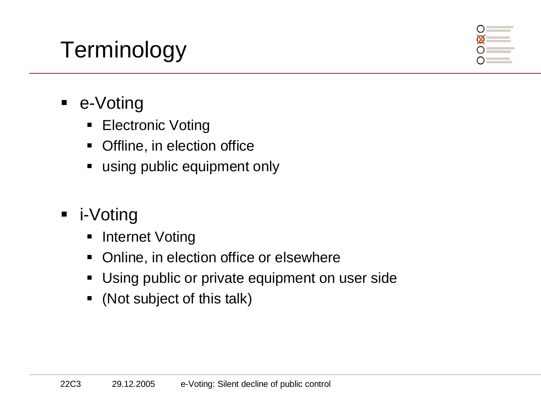# **Terminology**



- e-Voting
	- **Electronic Voting**  $\blacksquare$
	- $\blacksquare$ Offline, in election office
	- using public equipment only
- i-Voting
	- **E** Internet Voting  $\blacksquare$
	- **Online, in election office or elsewhere**  $\blacksquare$
	- **■** Using public or private equipment on user side
	- (Not subject of this talk)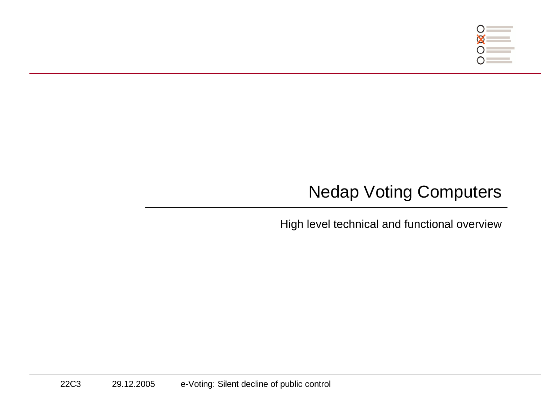

### Nedap Voting Computers

High level technical and functional overview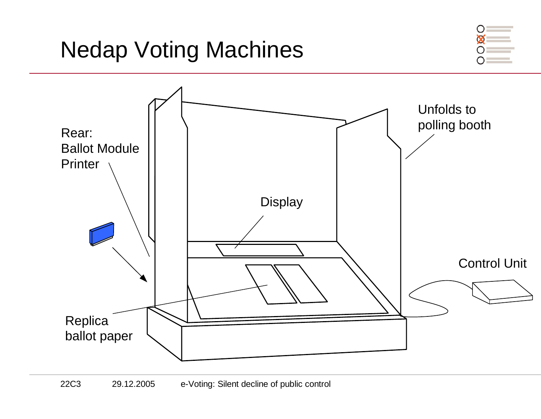

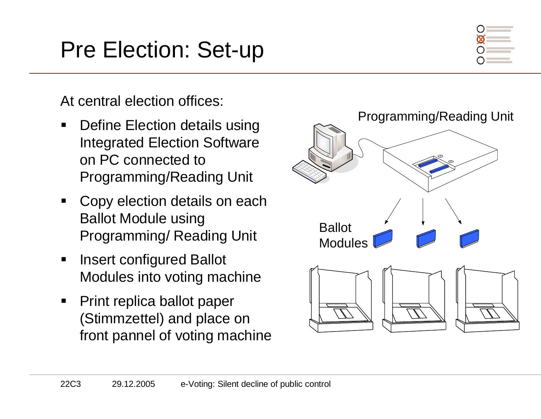# Pre Election: Set-up



At central election offices:

- $\blacksquare$  Define Election details using Integrated Election Software on PC connected to Programming/Reading Unit
- $\blacksquare$  Copy election details on each Ballot Module using Programming/ Reading Unit
- $\blacksquare$  Insert configured Ballot Modules into voting machine
- $\blacksquare$  Print replica ballot paper (Stimmzettel) and place on front pannel of voting machine

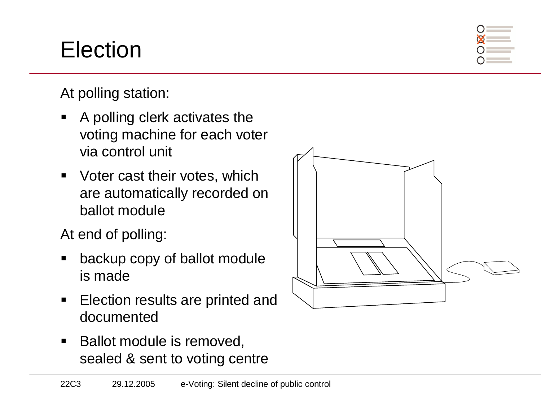# Election

At polling station:

- $\blacksquare$  A polling clerk activates the voting machine for each voter via control unit
- $\blacksquare$  Voter cast their votes, which are automatically recorded on ballot module

At end of polling:

- ٠ backup copy of ballot module is made
- $\blacksquare$  Election results are printed and documented
- $\blacksquare$  Ballot module is removed, sealed & sent to voting centre

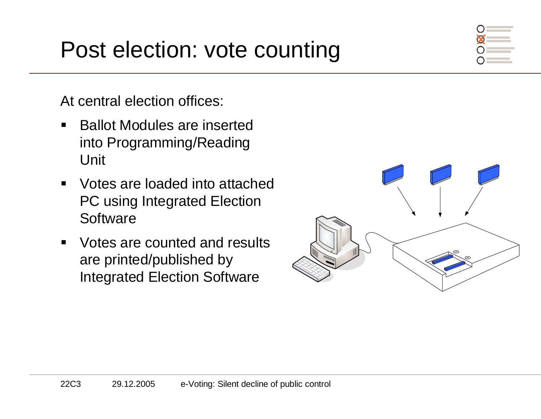### Post election: vote counting

At central election offices:

- $\blacksquare$  Ballot Modules are inserted into Programming/Reading Unit
- $\blacksquare$  Votes are loaded into attached PC using Integrated Election **Software**
- $\blacksquare$  Votes are counted and results are printed/published by Integrated Election Software

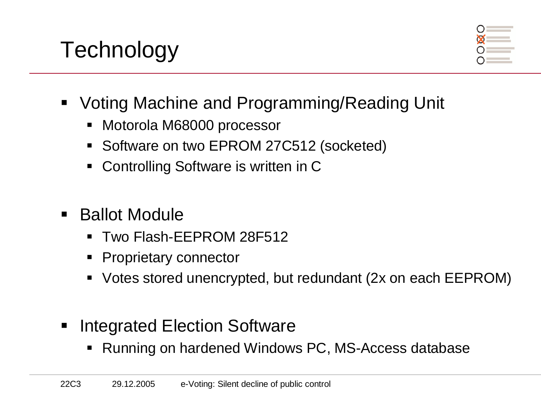# **Technology**



- Voting Machine and Programming/Reading Unit
	- Motorola M68000 processor
	- Software on two EPROM 27C512 (socketed)
	- ٠ Controlling Software is written in C
- Ballot Module
	- Two Flash-EEPROM 28F512
	- Proprietary connector
	- Votes stored unencrypted, but redundant (2x on each EEPROM)
- Integrated Election Software
	- Running on hardened Windows PC, MS-Access database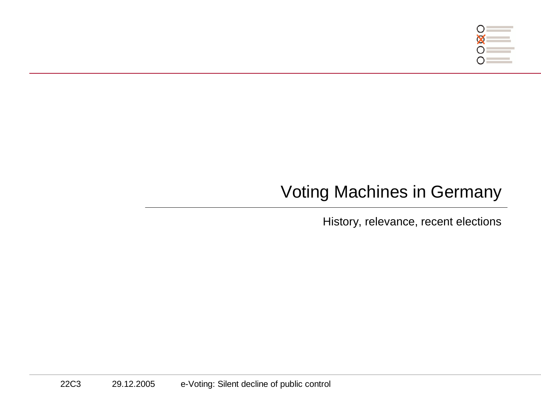

### Voting Machines in Germany

History, relevance, recent elections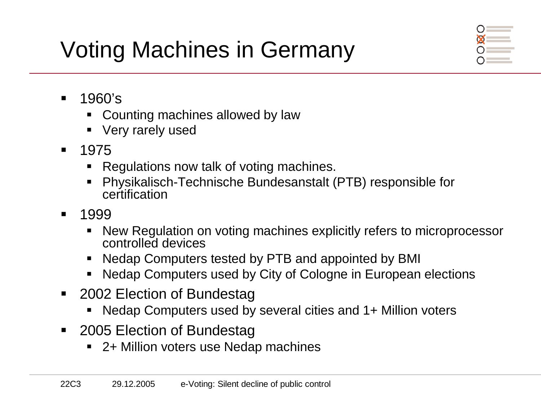# Voting Machines in Germany



- $\blacksquare$  1960's
	- Counting machines allowed by law
	- Very rarely used
- $\blacksquare$  <sup>1975</sup>
	- Regulations now talk of voting machines.
	- Physikalisch-Technische Bundesanstalt (PTB) responsible for certification
- $\blacksquare$  <sup>1999</sup>
	- New Regulation on voting machines explicitly refers to microprocessor controlled devices
	- Nedap Computers tested by PTB and appointed by BMI
	- ٠ Nedap Computers used by City of Cologne in European elections
- 2002 Election of Bundestag
	- Nedap Computers used by several cities and 1+ Million voters
- $\blacksquare$  2005 Election of Bundestag
	- 2+ Million voters use Nedap machines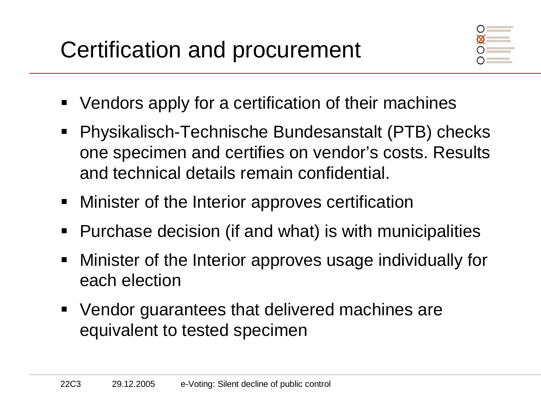

- ٠ Vendors apply for a certification of their machines
- Physikalisch-Technische Bundesanstalt (PTB) checks one specimen and certifies on vendor's costs. Results and technical details remain confidential.
- $\blacksquare$ Minister of the Interior approves certification
- **Purchase decision (if and what) is with municipalities**
- Minister of the Interior approves usage individually for each election
- **Vendor guarantees that delivered machines are** equivalent to tested specimen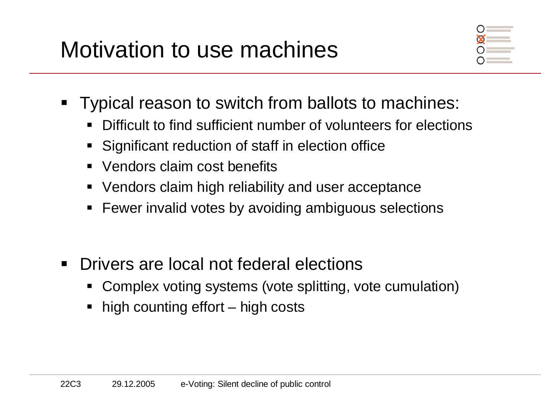

- **Typical reason to switch from ballots to machines:** 
	- Difficult to find sufficient number of volunteers for elections
	- Significant reduction of staff in election office
	- ٠ Vendors claim cost benefits
	- Vendors claim high reliability and user acceptance
	- $\textcolor{red}{\bullet}$  Fewer invalid votes by avoiding ambiguous selections
- $\blacksquare$  Drivers are local not federal elections
	- Complex voting systems (vote splitting, vote cumulation)
	- high counting effort – high costs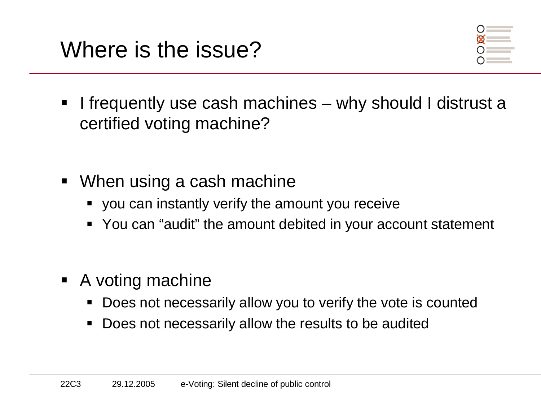

- ٠ I frequently use cash machines – why should I distrust a certified voting machine?
- When using a cash machine
	- you can instantly verify the amount you receive
	- You can "audit" the amount debited in your account statement
- A voting machine
	- **Does not necessarily allow you to verify the vote is counted**
	- Does not necessarily allow the results to be audited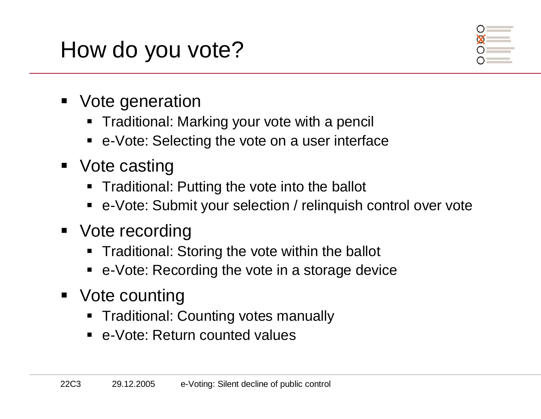# How do you vote?

- Vote generation
	- Traditional: Marking your vote with a pencil
	- e-Vote: Selecting the vote on a user interface
- Vote casting
	- Traditional: Putting the vote into the ballot
	- e-Vote: Submit your selection / relinquish control over vote
- Vote recording
	- **Traditional: Storing the vote within the ballot**
	- e-Vote: Recording the vote in a storage device
- Vote counting
	- **Traditional: Counting votes manually**
	- e-Vote: Return counted values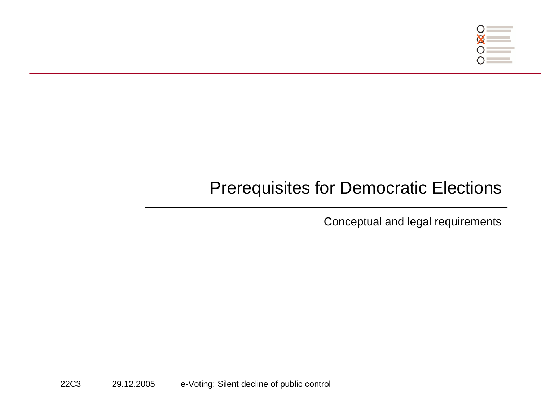

### Prerequisites for Democratic Elections

Conceptual and legal requirements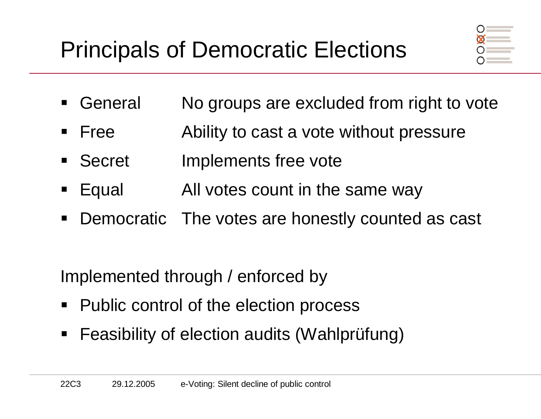

- ٠ General No groups are excluded from right to vote
- $\blacksquare$  Free Ability to cast a vote without pressure
- Secret Implements free vote
- Equal All votes count in the same way
- $\blacksquare$ Democratic The votes are honestly counted as cast

Implemented through / enforced by

- $\blacksquare$ Public control of the election process
- $\blacksquare$ Feasibility of election audits (Wahlprüfung)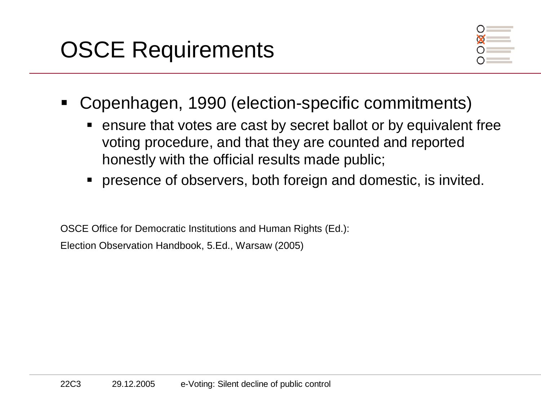

- ٠ Copenhagen, 1990 (election-specific commitments)
	- ensure that votes are cast by secret ballot or by equivalent free voting procedure, and that they are counted and reported honestly with the official results made public;
	- presence of observers, both foreign and domestic, is invited.

OSCE Office for Democratic Institutions and Human Rights (Ed.): Election Observation Handbook, 5.Ed., Warsaw (2005)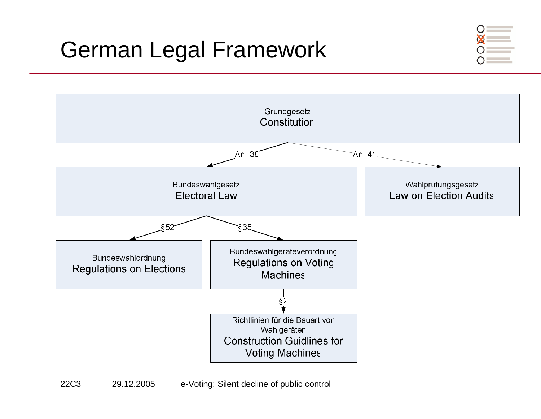# German Legal Framework



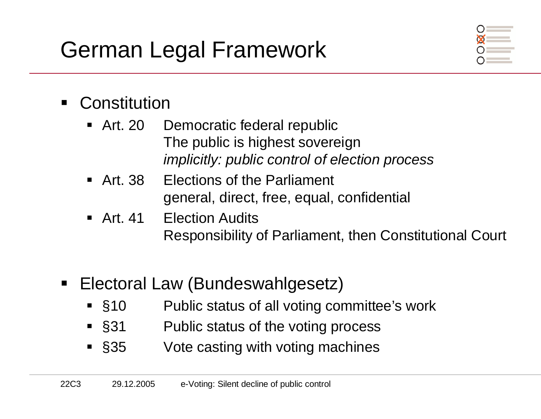# German Legal Framework



#### ٠ **Constitution**

- $\blacksquare$  Art. 20 Democratic federal republic The public is highest sovereignimplicitly: public control of election process
- $\blacksquare$  Art 38 **Elections of the Parliament** general, direct, free, equal, confidential
- $\blacksquare$  Art 41 **Election Audits** Responsibility of Parliament, then Constitutional Court
- $\blacksquare$  Electoral Law (Bundeswahlgesetz)
	- $\overline{\phantom{0}}$  \$10 Public status of all voting committee's work
	- $\overline{\phantom{0}}$  \$31 Public status of the voting process
	- $\overline{\phantom{1}}$  \$35 Vote casting with voting machines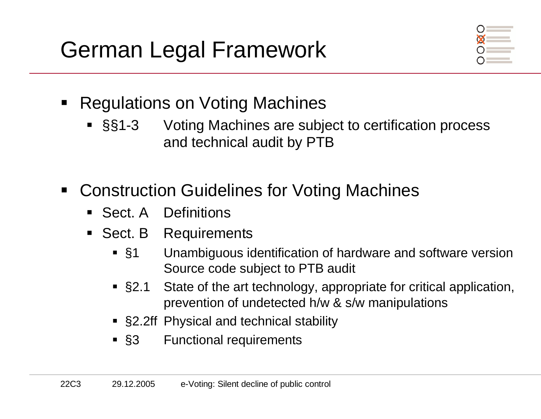

- ٠ Regulations on Voting Machines
	- §§1-3 Voting Machines are subject to certification process and technical audit by PTB
- $\blacksquare$  Construction Guidelines for Voting Machines
	- Sect. A Definitions
	- **Sect. B** Requirements
		- $\overline{\phantom{0}}$  \$1 Unambiguous identification of hardware and software version Source code subject to PTB audit
		- $\sim$  §2.1 State of the art technology, appropriate for critical application, prevention of undetected h/w & s/w manipulations
		- §2.2ff Physical and technical stability
		- $\blacksquare$  \$3 **Functional requirements**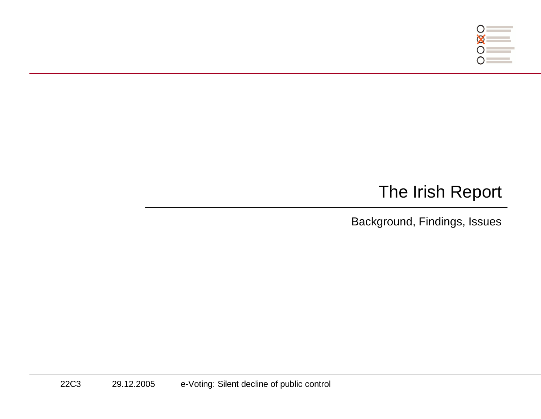

### The Irish Report

Background, Findings, Issues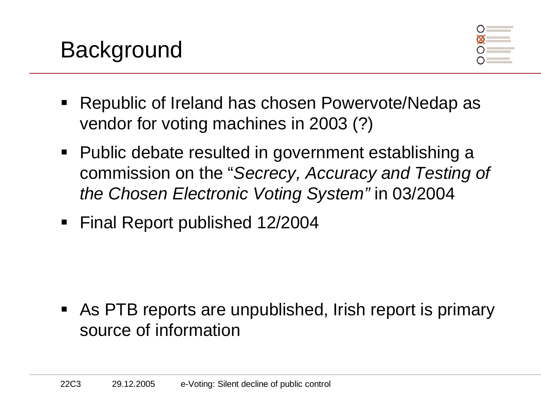

- ٠ Republic of Ireland has chosen Powervote/Nedap as vendor for voting machines in 2003 (?)
- Public debate resulted in government establishing a commission on the "Secrecy, Accuracy and Testing of the Chosen Electronic Voting System" in 03/2004
- Final Report published 12/2004

■ As PTB reports are unpublished, Irish report is primary source of information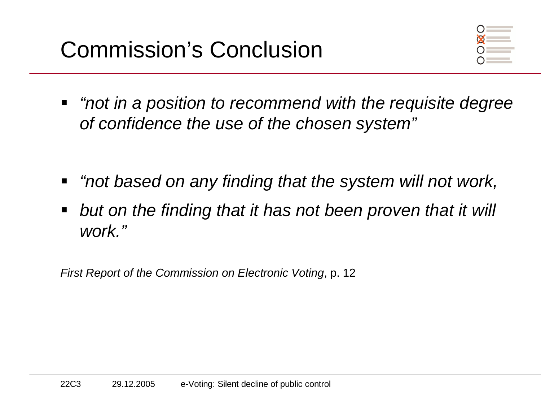

- ٠ "not in a position to recommend with the requisite degree of confidence the use of the chosen system"
- "not based on any finding that the system will not work,
- $\blacksquare$  but on the finding that it has not been proven that it will work."

First Report of the Commission on Electronic Voting, p. 12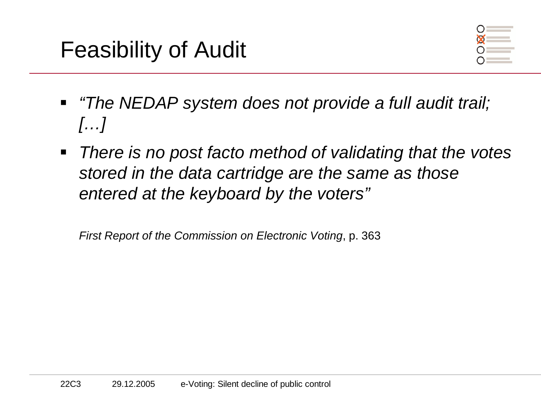

- "The NEDAP system does not provide a full audit trail;  $\left[\ldots\right]$
- $\blacksquare$  There is no post facto method of validating that the votes stored in the data cartridge are the same as those entered at the keyboard by the voters"

First Report of the Commission on Electronic Voting, p. 363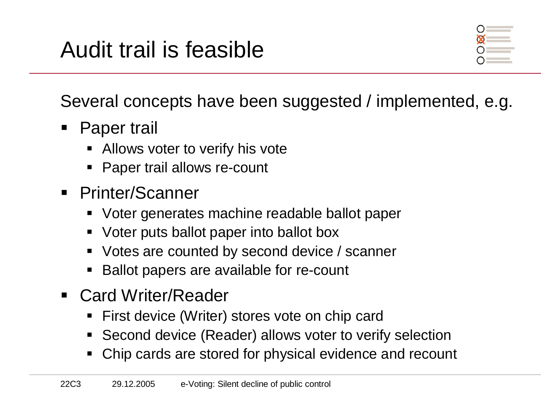# Audit trail is feasible



Several concepts have been suggested / implemented, e.g.

- ٠ Paper trail
	- Allows voter to verify his vote
	- Paper trail allows re-count
- Printer/Scanner
	- Voter generates machine readable ballot paper
	- Voter puts ballot paper into ballot box
	- **Votes are counted by second device / scanner**
	- Ballot papers are available for re-count
- Card Writer/Reader
	- First device (Writer) stores vote on chip card
	- Second device (Reader) allows voter to verify selection  $\blacksquare$
	- Chip cards are stored for physical evidence and recount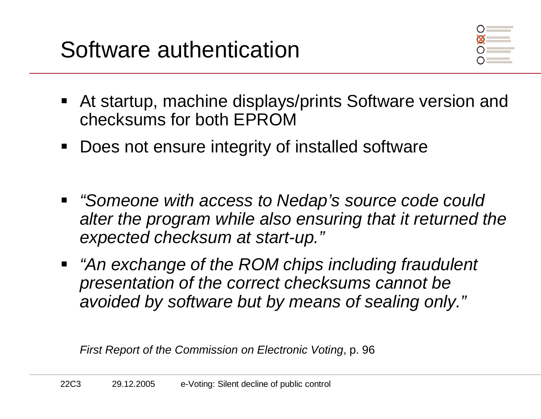

- At startup, machine displays/prints Software version and checksums for both EPROM
- Does not ensure integrity of installed software  $\blacksquare$
- "Someone with access to Nedap's source code could alter the program while also ensuring that it returned the expected checksum at start-up."
- "An exchange of the ROM chips including fraudulent presentation of the correct checksums cannot be avoided by software but by means of sealing only."

First Report of the Commission on Electronic Voting, p. 96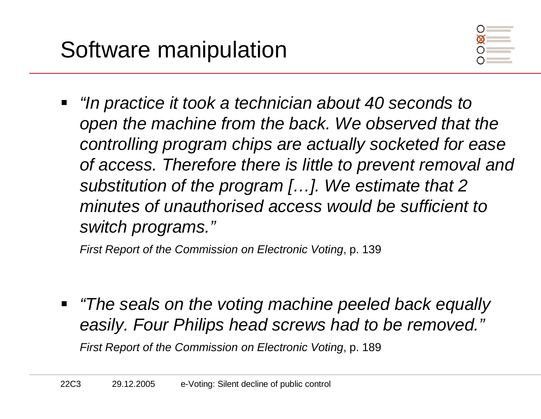

٠ "In practice it took a technician about 40 seconds to open the machine from the back. We observed that the controlling program chips are actually socketed for ease of access. Therefore there is little to prevent removal and substitution of the program [...]. We estimate that 2 minutes of unauthorised access would be sufficient to switch programs."

First Report of the Commission on Electronic Voting, p. 139

 "The seals on the voting machine peeled back equally easily. Four Philips head screws had to be removed."First Report of the Commission on Electronic Voting, p. 189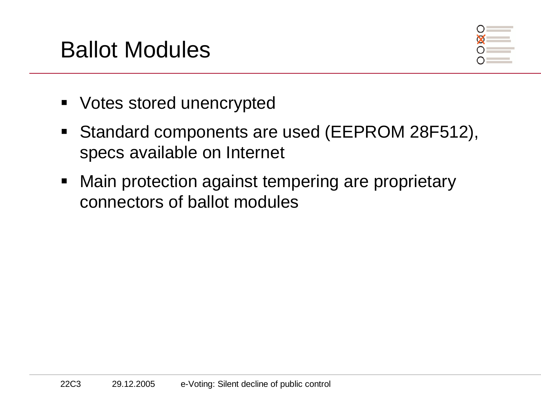### Ballot Modules



- Votes stored unencrypted
- Standard components are used (EEPROM 28F512), specs available on Internet
- $\blacksquare$  Main protection against tempering are proprietary connectors of ballot modules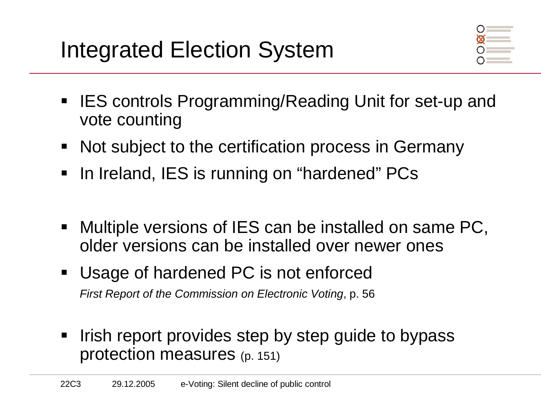# Integrated Election System



- IES controls Programming/Reading Unit for set-up and vote counting
- **Not subject to the certification process in Germany**
- In Ireland, IES is running on "hardened" PCs
- $\blacksquare$  Multiple versions of IES can be installed on same PC, older versions can be installed over newer ones
- Usage of hardened PC is not enforced First Report of the Commission on Electronic Voting, p. 56
- $\blacksquare$ Irish report provides step by step guide to bypass protection measures (p. 151)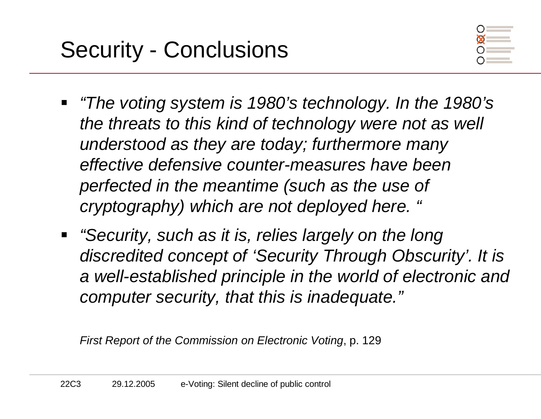

- ٠ "The voting system is 1980's technology. In the 1980's the threats to this kind of technology were not as well understood as they are today; furthermore many effective defensive counter-measures have been perfected in the meantime (such as the use of cryptography) which are not deployed here. "
- **"Security, such as it is, relies largely on the long** discredited concept of 'Security Through Obscurity'. It is a well-established principle in the world of electronic and computer security, that this is inadequate."

First Report of the Commission on Electronic Voting, p. 129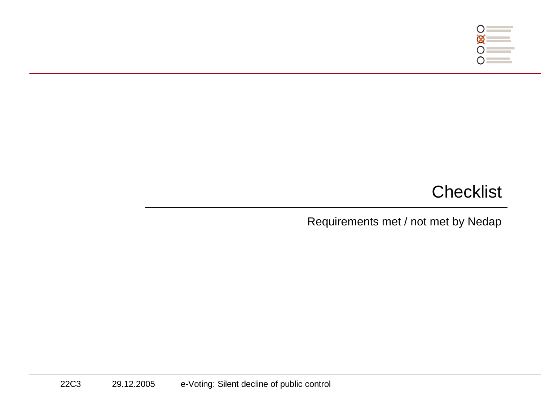

### **Checklist**

Requirements met / not met by Nedap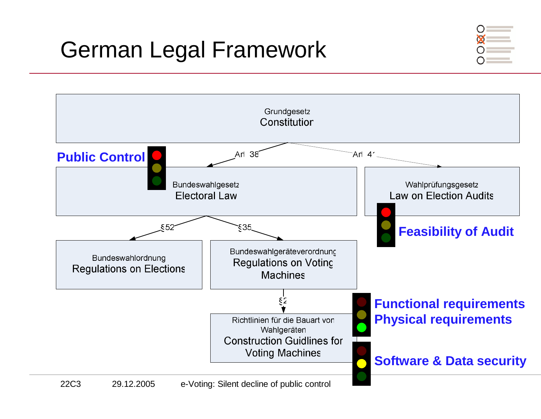# German Legal Framework



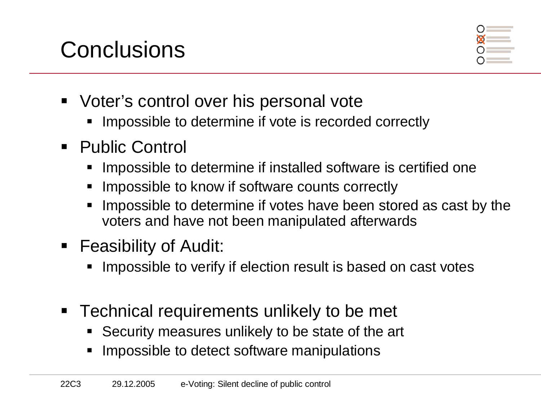# **Conclusions**



- Voter's control over his personal vote
	- **IMPOSSIble to determine if vote is recorded correctly**
- Public Control
	- Impossible to determine if installed software is certified one
	- ٠ Impossible to know if software counts correctly
	- **Impossible to determine if votes have been stored as cast by the** voters and have not been manipulated afterwards
- Feasibility of Audit:
	- **IMPOSSible to verify if election result is based on cast votes**
- Technical requirements unlikely to be met
	- Security measures unlikely to be state of the art
	- Impossible to detect software manipulations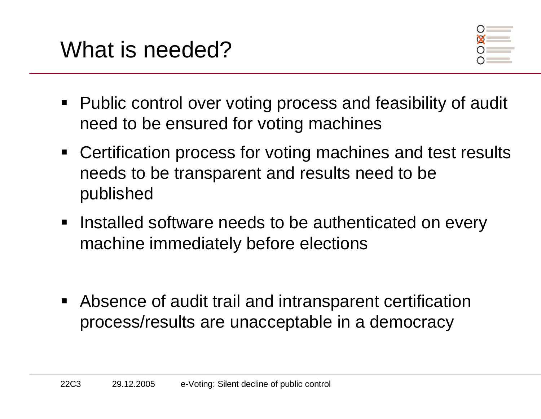



- Public control over voting process and feasibility of audit need to be ensured for voting machines
- **Certification process for voting machines and test results** needs to be transparent and results need to be published
- **Installed software needs to be authenticated on every** machine immediately before elections
- **Absence of audit trail and intransparent certification** process/results are unacceptable in a democracy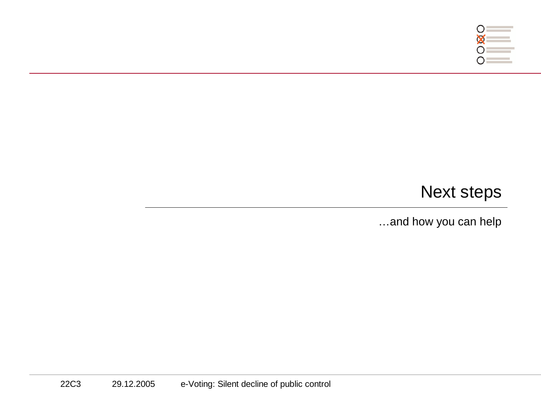

#### Next steps

…and how you can help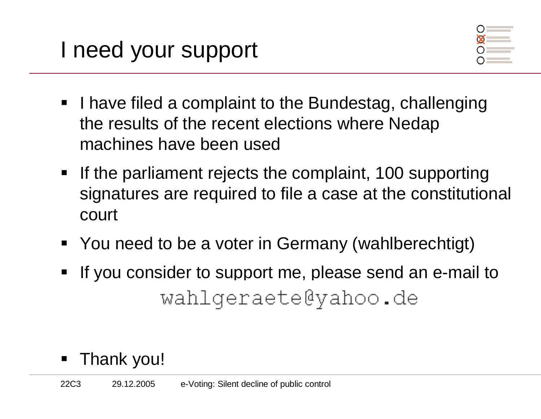

- **I** have filed a complaint to the Bundestag, challenging the results of the recent elections where Nedap machines have been used
- **If the parliament rejects the complaint, 100 supporting** signatures are required to file a case at the constitutional court
- You need to be a voter in Germany (wahlberechtigt)
- If you consider to support me, please send an e-mail to wahlqeraete@yahoo.de
- ٠ Thank you!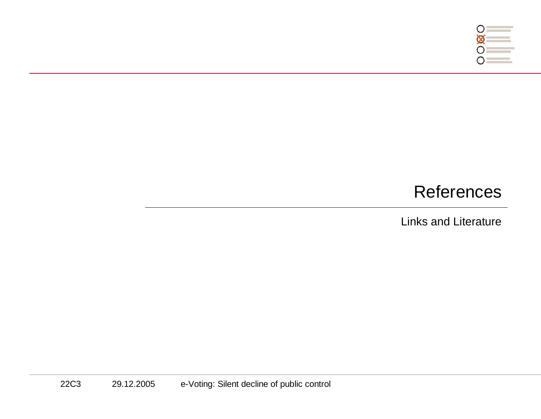

#### References

Links and Literature